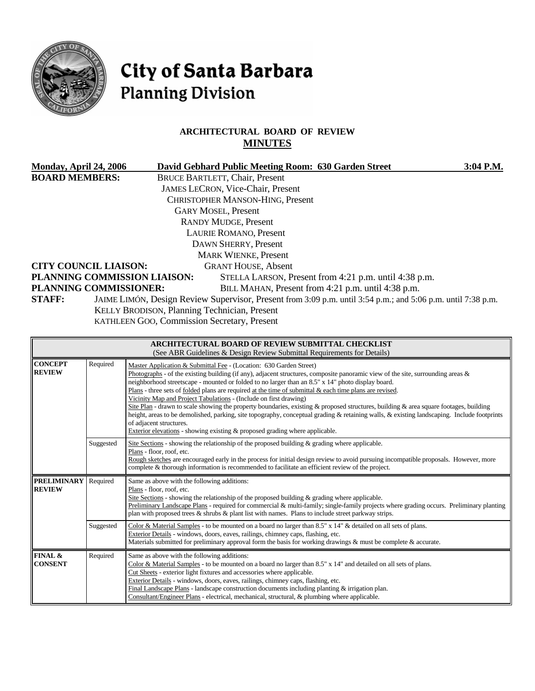

# City of Santa Barbara **Planning Division**

# **ARCHITECTURAL BOARD OF REVIEW MINUTES**

| Monday, April 24, 2006                         |                                                                                                              | David Gebhard Public Meeting Room: 630 Garden Street                                                                                                                                                                                                                                                                               | 3:04 P.M. |
|------------------------------------------------|--------------------------------------------------------------------------------------------------------------|------------------------------------------------------------------------------------------------------------------------------------------------------------------------------------------------------------------------------------------------------------------------------------------------------------------------------------|-----------|
| <b>BOARD MEMBERS:</b>                          |                                                                                                              | <b>BRUCE BARTLETT, Chair, Present</b>                                                                                                                                                                                                                                                                                              |           |
|                                                |                                                                                                              | <b>JAMES LECRON, Vice-Chair, Present</b>                                                                                                                                                                                                                                                                                           |           |
|                                                |                                                                                                              | CHRISTOPHER MANSON-HING, Present                                                                                                                                                                                                                                                                                                   |           |
|                                                |                                                                                                              | <b>GARY MOSEL, Present</b>                                                                                                                                                                                                                                                                                                         |           |
|                                                |                                                                                                              | <b>RANDY MUDGE, Present</b>                                                                                                                                                                                                                                                                                                        |           |
| LAURIE ROMANO, Present<br>DAWN SHERRY, Present |                                                                                                              |                                                                                                                                                                                                                                                                                                                                    |           |
|                                                |                                                                                                              |                                                                                                                                                                                                                                                                                                                                    |           |
|                                                | <b>CITY COUNCIL LIAISON:</b>                                                                                 | <b>GRANT HOUSE, Absent</b>                                                                                                                                                                                                                                                                                                         |           |
|                                                | PLANNING COMMISSION LIAISON:                                                                                 | STELLA LARSON, Present from 4:21 p.m. until 4:38 p.m.                                                                                                                                                                                                                                                                              |           |
|                                                | <b>PLANNING COMMISSIONER:</b>                                                                                | BILL MAHAN, Present from 4:21 p.m. until 4:38 p.m.                                                                                                                                                                                                                                                                                 |           |
| <b>STAFF:</b>                                  | JAIME LIMÓN, Design Review Supervisor, Present from 3:09 p.m. until 3:54 p.m.; and 5:06 p.m. until 7:38 p.m. |                                                                                                                                                                                                                                                                                                                                    |           |
|                                                |                                                                                                              | KELLY BRODISON, Planning Technician, Present                                                                                                                                                                                                                                                                                       |           |
|                                                |                                                                                                              | $\mathbf{v}$ $\mathbf{v}$ $\mathbf{v}$ $\mathbf{v}$ $\mathbf{v}$ $\mathbf{v}$ $\mathbf{v}$ $\mathbf{v}$ $\mathbf{v}$ $\mathbf{v}$ $\mathbf{v}$ $\mathbf{v}$ $\mathbf{v}$ $\mathbf{v}$ $\mathbf{v}$ $\mathbf{v}$ $\mathbf{v}$ $\mathbf{v}$ $\mathbf{v}$ $\mathbf{v}$ $\mathbf{v}$ $\mathbf{v}$ $\mathbf{v}$ $\mathbf{v}$ $\mathbf{$ |           |

KATHLEEN GOO, Commission Secretary, Present

| <b>ARCHITECTURAL BOARD OF REVIEW SUBMITTAL CHECKLIST</b><br>(See ABR Guidelines & Design Review Submittal Requirements for Details) |                                                                                                                                                                                                                                                                                                                                                                                                                                                                                                                                                                                                                                                                                                                                                                                                                                                                                                                  |                                                                                                                                                                                                                                                                                                                                                                                                                                                                                                                                 |  |  |  |
|-------------------------------------------------------------------------------------------------------------------------------------|------------------------------------------------------------------------------------------------------------------------------------------------------------------------------------------------------------------------------------------------------------------------------------------------------------------------------------------------------------------------------------------------------------------------------------------------------------------------------------------------------------------------------------------------------------------------------------------------------------------------------------------------------------------------------------------------------------------------------------------------------------------------------------------------------------------------------------------------------------------------------------------------------------------|---------------------------------------------------------------------------------------------------------------------------------------------------------------------------------------------------------------------------------------------------------------------------------------------------------------------------------------------------------------------------------------------------------------------------------------------------------------------------------------------------------------------------------|--|--|--|
| <b>CONCEPT</b><br><b>REVIEW</b>                                                                                                     | Required<br>Master Application & Submittal Fee - (Location: 630 Garden Street)<br>Photographs - of the existing building (if any), adjacent structures, composite panoramic view of the site, surrounding areas $\&$<br>neighborhood streetscape - mounted or folded to no larger than an 8.5" x 14" photo display board.<br>Plans - three sets of folded plans are required at the time of submittal $\&$ each time plans are revised.<br>Vicinity Map and Project Tabulations - (Include on first drawing)<br>Site Plan - drawn to scale showing the property boundaries, existing & proposed structures, building & area square footages, building<br>height, areas to be demolished, parking, site topography, conceptual grading & retaining walls, & existing landscaping. Include footprints<br>of adjacent structures.<br>Exterior elevations - showing existing $\&$ proposed grading where applicable. |                                                                                                                                                                                                                                                                                                                                                                                                                                                                                                                                 |  |  |  |
|                                                                                                                                     | Suggested                                                                                                                                                                                                                                                                                                                                                                                                                                                                                                                                                                                                                                                                                                                                                                                                                                                                                                        | Site Sections - showing the relationship of the proposed building $\&$ grading where applicable.<br>Plans - floor, roof, etc.<br>Rough sketches are encouraged early in the process for initial design review to avoid pursuing incompatible proposals. However, more<br>complete & thorough information is recommended to facilitate an efficient review of the project.                                                                                                                                                       |  |  |  |
| <b>PRELIMINARY</b><br>Required<br><b>REVIEW</b>                                                                                     |                                                                                                                                                                                                                                                                                                                                                                                                                                                                                                                                                                                                                                                                                                                                                                                                                                                                                                                  | Same as above with the following additions:<br>Plans - floor, roof, etc.<br>Site Sections - showing the relationship of the proposed building $\&$ grading where applicable.<br>Preliminary Landscape Plans - required for commercial & multi-family; single-family projects where grading occurs. Preliminary planting<br>plan with proposed trees $\&$ shrubs $\&$ plant list with names. Plans to include street parkway strips.                                                                                             |  |  |  |
|                                                                                                                                     | Suggested                                                                                                                                                                                                                                                                                                                                                                                                                                                                                                                                                                                                                                                                                                                                                                                                                                                                                                        | Color & Material Samples - to be mounted on a board no larger than $8.5"$ x $14"$ & detailed on all sets of plans.<br>Exterior Details - windows, doors, eaves, railings, chimney caps, flashing, etc.<br>Materials submitted for preliminary approval form the basis for working drawings & must be complete & accurate.                                                                                                                                                                                                       |  |  |  |
| FINAL &<br><b>CONSENT</b>                                                                                                           | Required                                                                                                                                                                                                                                                                                                                                                                                                                                                                                                                                                                                                                                                                                                                                                                                                                                                                                                         | Same as above with the following additions:<br>Color & Material Samples - to be mounted on a board no larger than 8.5" x 14" and detailed on all sets of plans.<br>Cut Sheets - exterior light fixtures and accessories where applicable.<br>Exterior Details - windows, doors, eaves, railings, chimney caps, flashing, etc.<br>Final Landscape Plans - landscape construction documents including planting & irrigation plan.<br>Consultant/Engineer Plans - electrical, mechanical, structural, & plumbing where applicable. |  |  |  |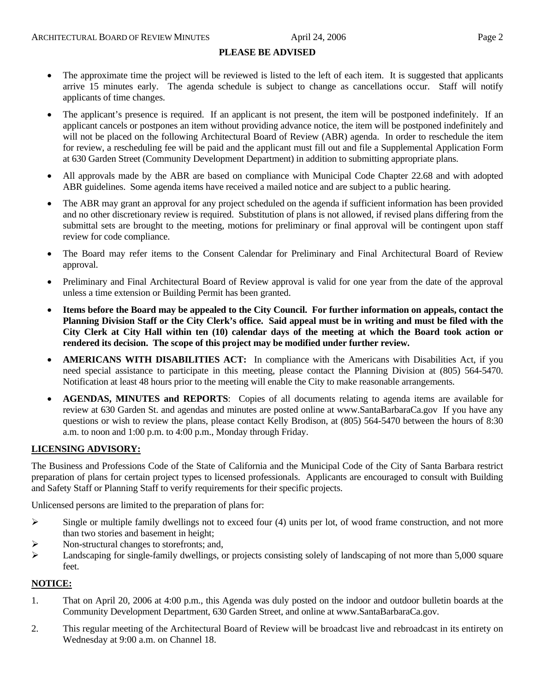#### **PLEASE BE ADVISED**

- The approximate time the project will be reviewed is listed to the left of each item. It is suggested that applicants arrive 15 minutes early. The agenda schedule is subject to change as cancellations occur. Staff will notify applicants of time changes.
- The applicant's presence is required. If an applicant is not present, the item will be postponed indefinitely. If an applicant cancels or postpones an item without providing advance notice, the item will be postponed indefinitely and will not be placed on the following Architectural Board of Review (ABR) agenda. In order to reschedule the item for review, a rescheduling fee will be paid and the applicant must fill out and file a Supplemental Application Form at 630 Garden Street (Community Development Department) in addition to submitting appropriate plans.
- All approvals made by the ABR are based on compliance with Municipal Code Chapter 22.68 and with adopted ABR guidelines. Some agenda items have received a mailed notice and are subject to a public hearing.
- The ABR may grant an approval for any project scheduled on the agenda if sufficient information has been provided and no other discretionary review is required. Substitution of plans is not allowed, if revised plans differing from the submittal sets are brought to the meeting, motions for preliminary or final approval will be contingent upon staff review for code compliance.
- The Board may refer items to the Consent Calendar for Preliminary and Final Architectural Board of Review approval.
- Preliminary and Final Architectural Board of Review approval is valid for one year from the date of the approval unless a time extension or Building Permit has been granted.
- **Items before the Board may be appealed to the City Council. For further information on appeals, contact the Planning Division Staff or the City Clerk's office. Said appeal must be in writing and must be filed with the City Clerk at City Hall within ten (10) calendar days of the meeting at which the Board took action or rendered its decision. The scope of this project may be modified under further review.**
- **AMERICANS WITH DISABILITIES ACT:** In compliance with the Americans with Disabilities Act, if you need special assistance to participate in this meeting, please contact the Planning Division at (805) 564-5470. Notification at least 48 hours prior to the meeting will enable the City to make reasonable arrangements.
- **AGENDAS, MINUTES and REPORTS**: Copies of all documents relating to agenda items are available for review at 630 Garden St. and agendas and minutes are posted online at [www.SantaBarbaraCa.gov](http://www.santabarbaraca.gov/) If you have any questions or wish to review the plans, please contact Kelly Brodison, at (805) 564-5470 between the hours of 8:30 a.m. to noon and 1:00 p.m. to 4:00 p.m., Monday through Friday.

#### **LICENSING ADVISORY:**

The Business and Professions Code of the State of California and the Municipal Code of the City of Santa Barbara restrict preparation of plans for certain project types to licensed professionals. Applicants are encouraged to consult with Building and Safety Staff or Planning Staff to verify requirements for their specific projects.

Unlicensed persons are limited to the preparation of plans for:

- $\triangleright$  Single or multiple family dwellings not to exceed four (4) units per lot, of wood frame construction, and not more than two stories and basement in height;
- ¾ Non-structural changes to storefronts; and,
- ¾ Landscaping for single-family dwellings, or projects consisting solely of landscaping of not more than 5,000 square feet.

#### **NOTICE:**

- 1. That on April 20, 2006 at 4:00 p.m., this Agenda was duly posted on the indoor and outdoor bulletin boards at the Community Development Department, 630 Garden Street, and online at www.SantaBarbaraCa.gov.
- 2. This regular meeting of the Architectural Board of Review will be broadcast live and rebroadcast in its entirety on Wednesday at 9:00 a.m. on Channel 18.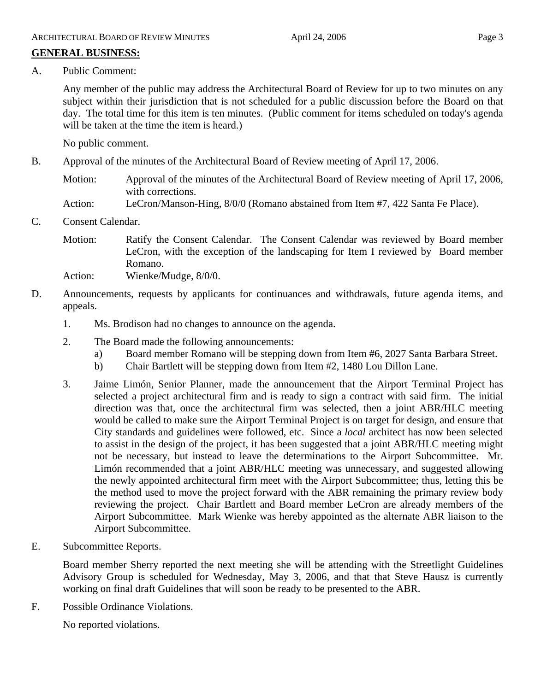# **GENERAL BUSINESS:**

A. Public Comment:

Any member of the public may address the Architectural Board of Review for up to two minutes on any subject within their jurisdiction that is not scheduled for a public discussion before the Board on that day. The total time for this item is ten minutes. (Public comment for items scheduled on today's agenda will be taken at the time the item is heard.)

No public comment.

- B. Approval of the minutes of the Architectural Board of Review meeting of April 17, 2006.
	- Motion: Approval of the minutes of the Architectural Board of Review meeting of April 17, 2006, with corrections.
	- Action: LeCron/Manson-Hing, 8/0/0 (Romano abstained from Item #7, 422 Santa Fe Place).
- C. Consent Calendar.
	- Motion: Ratify the Consent Calendar. The Consent Calendar was reviewed by Board member LeCron, with the exception of the landscaping for Item I reviewed by Board member Romano.

Action: Wienke/Mudge, 8/0/0.

- D. Announcements, requests by applicants for continuances and withdrawals, future agenda items, and appeals.
	- 1. Ms. Brodison had no changes to announce on the agenda.
	- 2. The Board made the following announcements:
		- a) Board member Romano will be stepping down from Item #6, 2027 Santa Barbara Street.
		- b) Chair Bartlett will be stepping down from Item #2, 1480 Lou Dillon Lane.
	- 3. Jaime Limón, Senior Planner, made the announcement that the Airport Terminal Project has selected a project architectural firm and is ready to sign a contract with said firm. The initial direction was that, once the architectural firm was selected, then a joint ABR/HLC meeting would be called to make sure the Airport Terminal Project is on target for design, and ensure that City standards and guidelines were followed, etc. Since a *local* architect has now been selected to assist in the design of the project, it has been suggested that a joint ABR/HLC meeting might not be necessary, but instead to leave the determinations to the Airport Subcommittee. Mr. Limón recommended that a joint ABR/HLC meeting was unnecessary, and suggested allowing the newly appointed architectural firm meet with the Airport Subcommittee; thus, letting this be the method used to move the project forward with the ABR remaining the primary review body reviewing the project. Chair Bartlett and Board member LeCron are already members of the Airport Subcommittee. Mark Wienke was hereby appointed as the alternate ABR liaison to the Airport Subcommittee.
- E. Subcommittee Reports.

Board member Sherry reported the next meeting she will be attending with the Streetlight Guidelines Advisory Group is scheduled for Wednesday, May 3, 2006, and that that Steve Hausz is currently working on final draft Guidelines that will soon be ready to be presented to the ABR.

F. Possible Ordinance Violations.

No reported violations.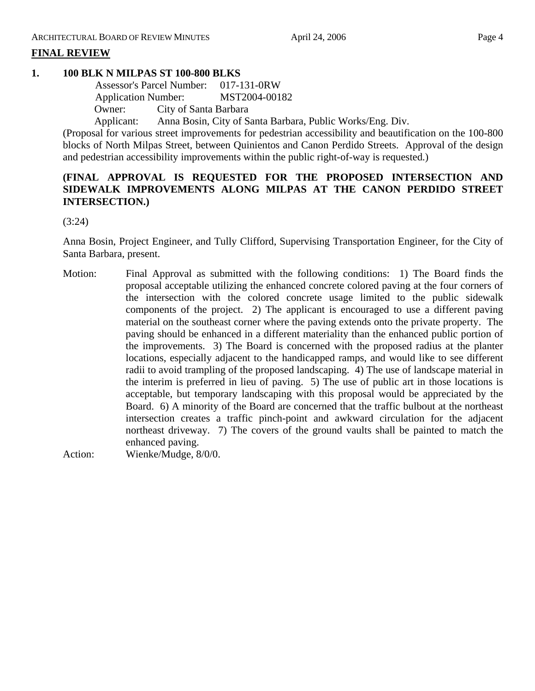# **FINAL REVIEW**

# **1. 100 BLK N MILPAS ST 100-800 BLKS**

 Assessor's Parcel Number: 017-131-0RW Application Number: MST2004-00182 Owner: City of Santa Barbara

Applicant: Anna Bosin, City of Santa Barbara, Public Works/Eng. Div.

(Proposal for various street improvements for pedestrian accessibility and beautification on the 100-800 blocks of North Milpas Street, between Quinientos and Canon Perdido Streets. Approval of the design and pedestrian accessibility improvements within the public right-of-way is requested.)

# **(FINAL APPROVAL IS REQUESTED FOR THE PROPOSED INTERSECTION AND SIDEWALK IMPROVEMENTS ALONG MILPAS AT THE CANON PERDIDO STREET INTERSECTION.)**

(3:24)

Anna Bosin, Project Engineer, and Tully Clifford, Supervising Transportation Engineer, for the City of Santa Barbara, present.

Motion: Final Approval as submitted with the following conditions: 1) The Board finds the proposal acceptable utilizing the enhanced concrete colored paving at the four corners of the intersection with the colored concrete usage limited to the public sidewalk components of the project. 2) The applicant is encouraged to use a different paving material on the southeast corner where the paving extends onto the private property. The paving should be enhanced in a different materiality than the enhanced public portion of the improvements. 3) The Board is concerned with the proposed radius at the planter locations, especially adjacent to the handicapped ramps, and would like to see different radii to avoid trampling of the proposed landscaping. 4) The use of landscape material in the interim is preferred in lieu of paving. 5) The use of public art in those locations is acceptable, but temporary landscaping with this proposal would be appreciated by the Board. 6) A minority of the Board are concerned that the traffic bulbout at the northeast intersection creates a traffic pinch-point and awkward circulation for the adjacent northeast driveway. 7) The covers of the ground vaults shall be painted to match the enhanced paving.

Action: Wienke/Mudge, 8/0/0.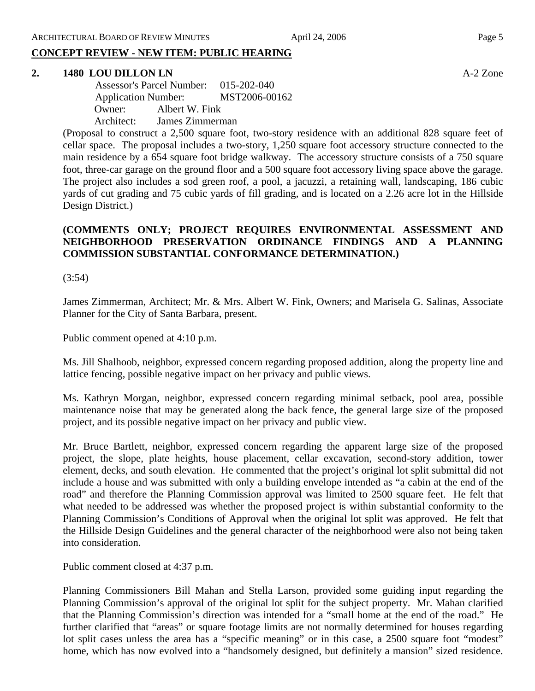# **CONCEPT REVIEW - NEW ITEM: PUBLIC HEARING**

#### **2. 1480 LOU DILLON LN** A-2 Zone

 Assessor's Parcel Number: 015-202-040 Application Number: MST2006-00162 Owner: Albert W. Fink Architect: James Zimmerman

(Proposal to construct a 2,500 square foot, two-story residence with an additional 828 square feet of cellar space. The proposal includes a two-story, 1,250 square foot accessory structure connected to the main residence by a 654 square foot bridge walkway. The accessory structure consists of a 750 square foot, three-car garage on the ground floor and a 500 square foot accessory living space above the garage. The project also includes a sod green roof, a pool, a jacuzzi, a retaining wall, landscaping, 186 cubic yards of cut grading and 75 cubic yards of fill grading, and is located on a 2.26 acre lot in the Hillside Design District.)

# **(COMMENTS ONLY; PROJECT REQUIRES ENVIRONMENTAL ASSESSMENT AND NEIGHBORHOOD PRESERVATION ORDINANCE FINDINGS AND A PLANNING COMMISSION SUBSTANTIAL CONFORMANCE DETERMINATION.)**

#### (3:54)

James Zimmerman, Architect; Mr. & Mrs. Albert W. Fink, Owners; and Marisela G. Salinas, Associate Planner for the City of Santa Barbara, present.

Public comment opened at 4:10 p.m.

Ms. Jill Shalhoob, neighbor, expressed concern regarding proposed addition, along the property line and lattice fencing, possible negative impact on her privacy and public views.

Ms. Kathryn Morgan, neighbor, expressed concern regarding minimal setback, pool area, possible maintenance noise that may be generated along the back fence, the general large size of the proposed project, and its possible negative impact on her privacy and public view.

Mr. Bruce Bartlett, neighbor, expressed concern regarding the apparent large size of the proposed project, the slope, plate heights, house placement, cellar excavation, second-story addition, tower element, decks, and south elevation. He commented that the project's original lot split submittal did not include a house and was submitted with only a building envelope intended as "a cabin at the end of the road" and therefore the Planning Commission approval was limited to 2500 square feet. He felt that what needed to be addressed was whether the proposed project is within substantial conformity to the Planning Commission's Conditions of Approval when the original lot split was approved. He felt that the Hillside Design Guidelines and the general character of the neighborhood were also not being taken into consideration.

Public comment closed at 4:37 p.m.

Planning Commissioners Bill Mahan and Stella Larson, provided some guiding input regarding the Planning Commission's approval of the original lot split for the subject property. Mr. Mahan clarified that the Planning Commission's direction was intended for a "small home at the end of the road." He further clarified that "areas" or square footage limits are not normally determined for houses regarding lot split cases unless the area has a "specific meaning" or in this case, a 2500 square foot "modest" home, which has now evolved into a "handsomely designed, but definitely a mansion" sized residence.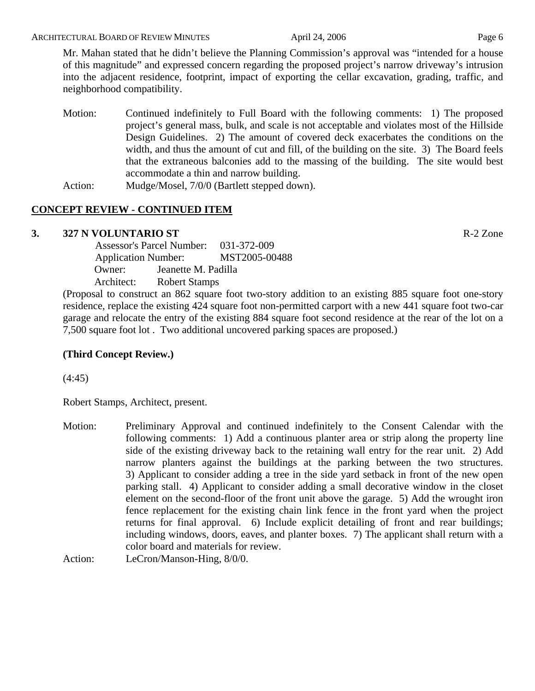Mr. Mahan stated that he didn't believe the Planning Commission's approval was "intended for a house of this magnitude" and expressed concern regarding the proposed project's narrow driveway's intrusion into the adjacent residence, footprint, impact of exporting the cellar excavation, grading, traffic, and neighborhood compatibility.

- Motion: Continued indefinitely to Full Board with the following comments: 1) The proposed project's general mass, bulk, and scale is not acceptable and violates most of the Hillside Design Guidelines. 2) The amount of covered deck exacerbates the conditions on the width, and thus the amount of cut and fill, of the building on the site. 3) The Board feels that the extraneous balconies add to the massing of the building. The site would best accommodate a thin and narrow building.
- Action: Mudge/Mosel, 7/0/0 (Bartlett stepped down).

# **CONCEPT REVIEW - CONTINUED ITEM**

# **3. 327 N VOLUNTARIO ST** R-2 Zone

 Assessor's Parcel Number: 031-372-009 Application Number: MST2005-00488 Owner: Jeanette M. Padilla Architect: Robert Stamps

(Proposal to construct an 862 square foot two-story addition to an existing 885 square foot one-story residence, replace the existing 424 square foot non-permitted carport with a new 441 square foot two-car garage and relocate the entry of the existing 884 square foot second residence at the rear of the lot on a 7,500 square foot lot . Two additional uncovered parking spaces are proposed.)

# **(Third Concept Review.)**

(4:45)

Robert Stamps, Architect, present.

Motion: Preliminary Approval and continued indefinitely to the Consent Calendar with the following comments: 1) Add a continuous planter area or strip along the property line side of the existing driveway back to the retaining wall entry for the rear unit. 2) Add narrow planters against the buildings at the parking between the two structures. 3) Applicant to consider adding a tree in the side yard setback in front of the new open parking stall. 4) Applicant to consider adding a small decorative window in the closet element on the second-floor of the front unit above the garage. 5) Add the wrought iron fence replacement for the existing chain link fence in the front yard when the project returns for final approval. 6) Include explicit detailing of front and rear buildings; including windows, doors, eaves, and planter boxes. 7) The applicant shall return with a color board and materials for review.

Action: LeCron/Manson-Hing,  $8/0/0$ .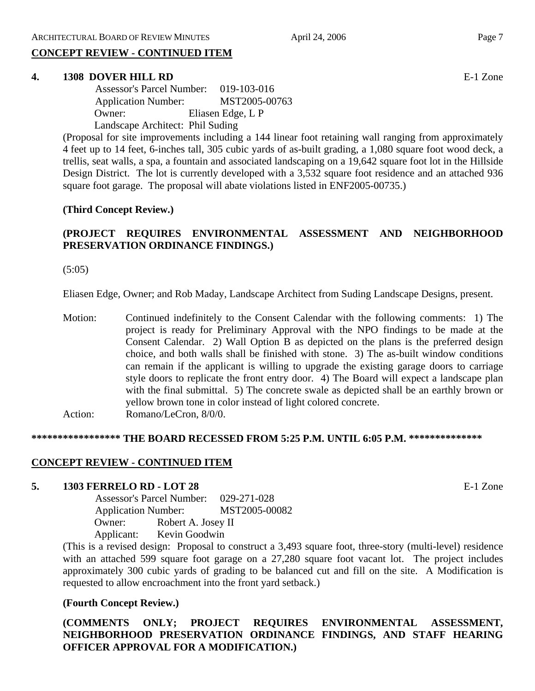# **CONCEPT REVIEW - CONTINUED ITEM**

#### **4. 1308 DOVER HILL RD** E-1 Zone

| <b>Assessor's Parcel Number:</b> | $019 - 103 - 016$ |
|----------------------------------|-------------------|
| <b>Application Number:</b>       | MST2005-00763     |
| Owner:                           | Eliasen Edge, L P |
| Landscape Architect: Phil Suding |                   |

(Proposal for site improvements including a 144 linear foot retaining wall ranging from approximately 4 feet up to 14 feet, 6-inches tall, 305 cubic yards of as-built grading, a 1,080 square foot wood deck, a trellis, seat walls, a spa, a fountain and associated landscaping on a 19,642 square foot lot in the Hillside Design District. The lot is currently developed with a 3,532 square foot residence and an attached 936 square foot garage. The proposal will abate violations listed in ENF2005-00735.)

#### **(Third Concept Review.)**

# **(PROJECT REQUIRES ENVIRONMENTAL ASSESSMENT AND NEIGHBORHOOD PRESERVATION ORDINANCE FINDINGS.)**

(5:05)

Eliasen Edge, Owner; and Rob Maday, Landscape Architect from Suding Landscape Designs, present.

Motion: Continued indefinitely to the Consent Calendar with the following comments: 1) The project is ready for Preliminary Approval with the NPO findings to be made at the Consent Calendar. 2) Wall Option B as depicted on the plans is the preferred design choice, and both walls shall be finished with stone. 3) The as-built window conditions can remain if the applicant is willing to upgrade the existing garage doors to carriage style doors to replicate the front entry door. 4) The Board will expect a landscape plan with the final submittal. 5) The concrete swale as depicted shall be an earthly brown or yellow brown tone in color instead of light colored concrete. Action: Romano/LeCron, 8/0/0.

#### **\*\*\*\*\*\*\*\*\*\*\*\*\*\*\*\*\* THE BOARD RECESSED FROM 5:25 P.M. UNTIL 6:05 P.M. \*\*\*\*\*\*\*\*\*\*\*\*\*\***

#### **CONCEPT REVIEW - CONTINUED ITEM**

#### **5. 1303 FERRELO RD - LOT 28** E-1 Zone

 Assessor's Parcel Number: 029-271-028 Application Number: MST2005-00082 Owner: Robert A. Josey II Applicant: Kevin Goodwin

(This is a revised design: Proposal to construct a 3,493 square foot, three-story (multi-level) residence with an attached 599 square foot garage on a 27,280 square foot vacant lot. The project includes approximately 300 cubic yards of grading to be balanced cut and fill on the site. A Modification is requested to allow encroachment into the front yard setback.)

#### **(Fourth Concept Review.)**

**(COMMENTS ONLY; PROJECT REQUIRES ENVIRONMENTAL ASSESSMENT, NEIGHBORHOOD PRESERVATION ORDINANCE FINDINGS, AND STAFF HEARING OFFICER APPROVAL FOR A MODIFICATION.)**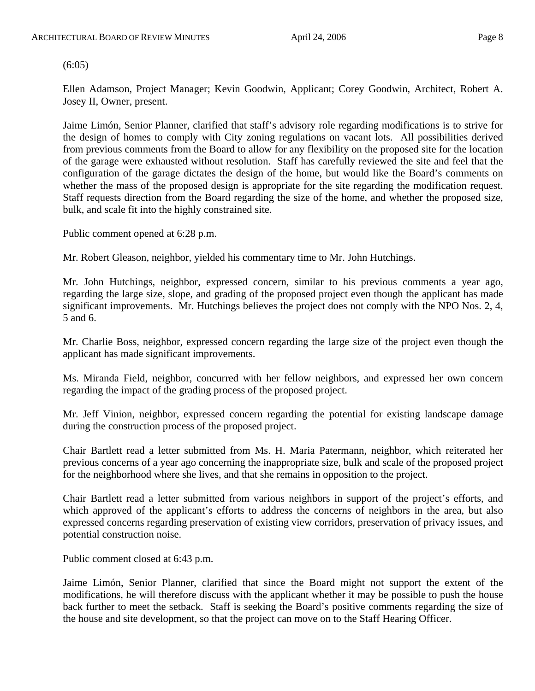$(6:05)$ 

Ellen Adamson, Project Manager; Kevin Goodwin, Applicant; Corey Goodwin, Architect, Robert A. Josey II, Owner, present.

Jaime Limón, Senior Planner, clarified that staff's advisory role regarding modifications is to strive for the design of homes to comply with City zoning regulations on vacant lots. All possibilities derived from previous comments from the Board to allow for any flexibility on the proposed site for the location of the garage were exhausted without resolution. Staff has carefully reviewed the site and feel that the configuration of the garage dictates the design of the home, but would like the Board's comments on whether the mass of the proposed design is appropriate for the site regarding the modification request. Staff requests direction from the Board regarding the size of the home, and whether the proposed size, bulk, and scale fit into the highly constrained site.

Public comment opened at 6:28 p.m.

Mr. Robert Gleason, neighbor, yielded his commentary time to Mr. John Hutchings.

Mr. John Hutchings, neighbor, expressed concern, similar to his previous comments a year ago, regarding the large size, slope, and grading of the proposed project even though the applicant has made significant improvements. Mr. Hutchings believes the project does not comply with the NPO Nos. 2, 4, 5 and 6.

Mr. Charlie Boss, neighbor, expressed concern regarding the large size of the project even though the applicant has made significant improvements.

Ms. Miranda Field, neighbor, concurred with her fellow neighbors, and expressed her own concern regarding the impact of the grading process of the proposed project.

Mr. Jeff Vinion, neighbor, expressed concern regarding the potential for existing landscape damage during the construction process of the proposed project.

Chair Bartlett read a letter submitted from Ms. H. Maria Patermann, neighbor, which reiterated her previous concerns of a year ago concerning the inappropriate size, bulk and scale of the proposed project for the neighborhood where she lives, and that she remains in opposition to the project.

Chair Bartlett read a letter submitted from various neighbors in support of the project's efforts, and which approved of the applicant's efforts to address the concerns of neighbors in the area, but also expressed concerns regarding preservation of existing view corridors, preservation of privacy issues, and potential construction noise.

Public comment closed at 6:43 p.m.

Jaime Limón, Senior Planner, clarified that since the Board might not support the extent of the modifications, he will therefore discuss with the applicant whether it may be possible to push the house back further to meet the setback. Staff is seeking the Board's positive comments regarding the size of the house and site development, so that the project can move on to the Staff Hearing Officer.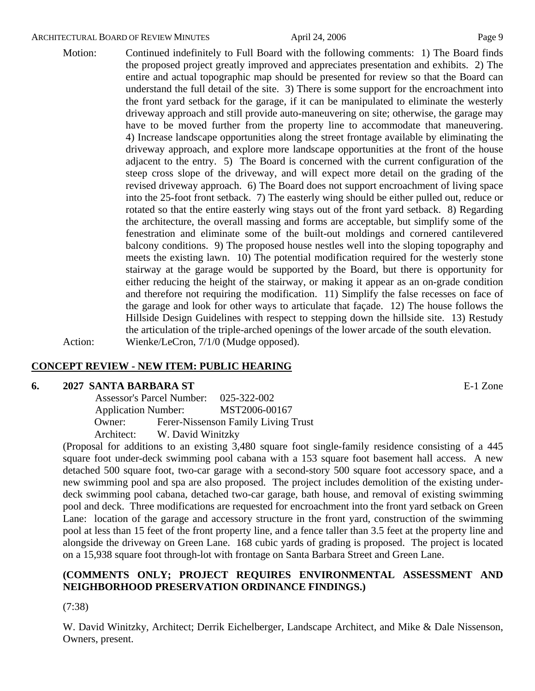#### ARCHITECTURAL BOARD OF REVIEW MINUTES April 24, 2006 April 24, 2006

Motion: Continued indefinitely to Full Board with the following comments: 1) The Board finds the proposed project greatly improved and appreciates presentation and exhibits. 2) The entire and actual topographic map should be presented for review so that the Board can understand the full detail of the site. 3) There is some support for the encroachment into the front yard setback for the garage, if it can be manipulated to eliminate the westerly driveway approach and still provide auto-maneuvering on site; otherwise, the garage may have to be moved further from the property line to accommodate that maneuvering. 4) Increase landscape opportunities along the street frontage available by eliminating the driveway approach, and explore more landscape opportunities at the front of the house adjacent to the entry. 5) The Board is concerned with the current configuration of the steep cross slope of the driveway, and will expect more detail on the grading of the revised driveway approach. 6) The Board does not support encroachment of living space into the 25-foot front setback. 7) The easterly wing should be either pulled out, reduce or rotated so that the entire easterly wing stays out of the front yard setback. 8) Regarding the architecture, the overall massing and forms are acceptable, but simplify some of the fenestration and eliminate some of the built-out moldings and cornered cantilevered balcony conditions. 9) The proposed house nestles well into the sloping topography and meets the existing lawn. 10) The potential modification required for the westerly stone stairway at the garage would be supported by the Board, but there is opportunity for either reducing the height of the stairway, or making it appear as an on-grade condition and therefore not requiring the modification. 11) Simplify the false recesses on face of the garage and look for other ways to articulate that façade. 12) The house follows the Hillside Design Guidelines with respect to stepping down the hillside site. 13) Restudy

the articulation of the triple-arched openings of the lower arcade of the south elevation.

Action: Wienke/LeCron, 7/1/0 (Mudge opposed).

#### **CONCEPT REVIEW - NEW ITEM: PUBLIC HEARING**

#### **6. 2027 SANTA BARBARA ST** E-1 Zone

 Assessor's Parcel Number: 025-322-002 Application Number: MST2006-00167 Owner: Ferer-Nissenson Family Living Trust Architect: W. David Winitzky

(Proposal for additions to an existing 3,480 square foot single-family residence consisting of a 445 square foot under-deck swimming pool cabana with a 153 square foot basement hall access. A new detached 500 square foot, two-car garage with a second-story 500 square foot accessory space, and a new swimming pool and spa are also proposed. The project includes demolition of the existing underdeck swimming pool cabana, detached two-car garage, bath house, and removal of existing swimming pool and deck. Three modifications are requested for encroachment into the front yard setback on Green Lane: location of the garage and accessory structure in the front yard, construction of the swimming pool at less than 15 feet of the front property line, and a fence taller than 3.5 feet at the property line and alongside the driveway on Green Lane. 168 cubic yards of grading is proposed. The project is located on a 15,938 square foot through-lot with frontage on Santa Barbara Street and Green Lane.

#### **(COMMENTS ONLY; PROJECT REQUIRES ENVIRONMENTAL ASSESSMENT AND NEIGHBORHOOD PRESERVATION ORDINANCE FINDINGS.)**

(7:38)

W. David Winitzky, Architect; Derrik Eichelberger, Landscape Architect, and Mike & Dale Nissenson, Owners, present.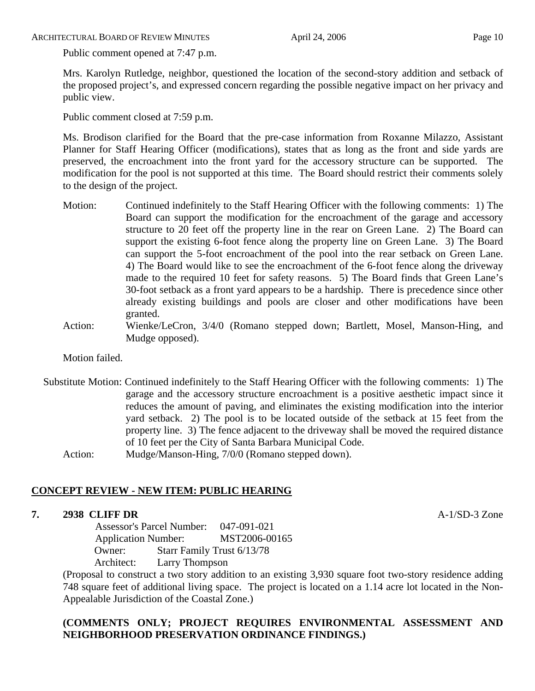ARCHITECTURAL BOARD OF REVIEW MINUTES April 24, 2006 April 24, 2006

Public comment opened at 7:47 p.m.

Mrs. Karolyn Rutledge, neighbor, questioned the location of the second-story addition and setback of the proposed project's, and expressed concern regarding the possible negative impact on her privacy and public view.

Public comment closed at 7:59 p.m.

Ms. Brodison clarified for the Board that the pre-case information from Roxanne Milazzo, Assistant Planner for Staff Hearing Officer (modifications), states that as long as the front and side yards are preserved, the encroachment into the front yard for the accessory structure can be supported. The modification for the pool is not supported at this time. The Board should restrict their comments solely to the design of the project.

- Motion: Continued indefinitely to the Staff Hearing Officer with the following comments: 1) The Board can support the modification for the encroachment of the garage and accessory structure to 20 feet off the property line in the rear on Green Lane. 2) The Board can support the existing 6-foot fence along the property line on Green Lane. 3) The Board can support the 5-foot encroachment of the pool into the rear setback on Green Lane. 4) The Board would like to see the encroachment of the 6-foot fence along the driveway made to the required 10 feet for safety reasons. 5) The Board finds that Green Lane's 30-foot setback as a front yard appears to be a hardship. There is precedence since other already existing buildings and pools are closer and other modifications have been granted.
- Action: Wienke/LeCron, 3/4/0 (Romano stepped down; Bartlett, Mosel, Manson-Hing, and Mudge opposed).

Motion failed.

Substitute Motion: Continued indefinitely to the Staff Hearing Officer with the following comments: 1) The garage and the accessory structure encroachment is a positive aesthetic impact since it reduces the amount of paving, and eliminates the existing modification into the interior yard setback. 2) The pool is to be located outside of the setback at 15 feet from the property line. 3) The fence adjacent to the driveway shall be moved the required distance of 10 feet per the City of Santa Barbara Municipal Code. Action: Mudge/Manson-Hing, 7/0/0 (Romano stepped down).

# **CONCEPT REVIEW - NEW ITEM: PUBLIC HEARING**

#### **7. 2938 CLIFF DR** A-1/SD-3 Zone

 Assessor's Parcel Number: 047-091-021 Application Number: MST2006-00165 Owner: Starr Family Trust 6/13/78 Architect: Larry Thompson

(Proposal to construct a two story addition to an existing 3,930 square foot two-story residence adding 748 square feet of additional living space. The project is located on a 1.14 acre lot located in the Non-Appealable Jurisdiction of the Coastal Zone.)

# **(COMMENTS ONLY; PROJECT REQUIRES ENVIRONMENTAL ASSESSMENT AND NEIGHBORHOOD PRESERVATION ORDINANCE FINDINGS.)**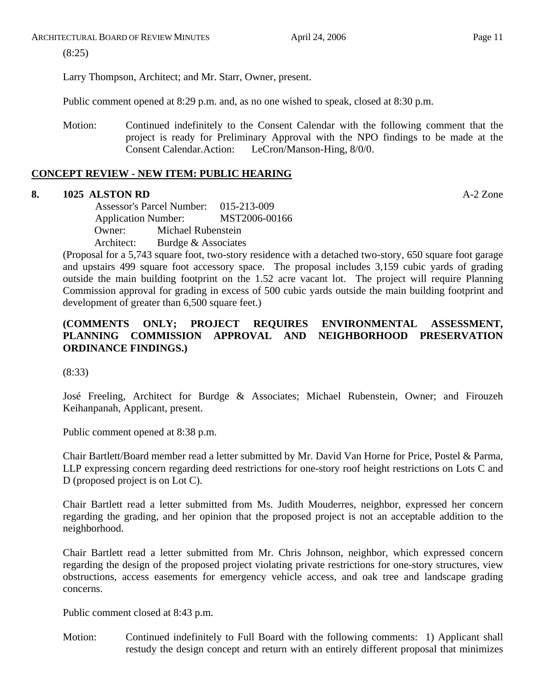ARCHITECTURAL BOARD OF REVIEW MINUTES April 24, 2006 April 24, 2006

(8:25)

Larry Thompson, Architect; and Mr. Starr, Owner, present.

Public comment opened at 8:29 p.m. and, as no one wished to speak, closed at 8:30 p.m.

Motion: Continued indefinitely to the Consent Calendar with the following comment that the project is ready for Preliminary Approval with the NPO findings to be made at the Consent Calendar.Action: LeCron/Manson-Hing, 8/0/0.

# **CONCEPT REVIEW - NEW ITEM: PUBLIC HEARING**

# **8. 1025 ALSTON RD** A-2 Zone

 Assessor's Parcel Number: 015-213-009 Application Number: MST2006-00166 Owner: Michael Rubenstein Architect: Burdge & Associates

(Proposal for a 5,743 square foot, two-story residence with a detached two-story, 650 square foot garage and upstairs 499 square foot accessory space. The proposal includes 3,159 cubic yards of grading outside the main building footprint on the 1.52 acre vacant lot. The project will require Planning Commission approval for grading in excess of 500 cubic yards outside the main building footprint and development of greater than 6,500 square feet.)

# **(COMMENTS ONLY; PROJECT REQUIRES ENVIRONMENTAL ASSESSMENT, PLANNING COMMISSION APPROVAL AND NEIGHBORHOOD PRESERVATION ORDINANCE FINDINGS.)**

(8:33)

José Freeling, Architect for Burdge & Associates; Michael Rubenstein, Owner; and Firouzeh Keihanpanah, Applicant, present.

Public comment opened at 8:38 p.m.

Chair Bartlett/Board member read a letter submitted by Mr. David Van Horne for Price, Postel & Parma, LLP expressing concern regarding deed restrictions for one-story roof height restrictions on Lots C and D (proposed project is on Lot C).

Chair Bartlett read a letter submitted from Ms. Judith Mouderres, neighbor, expressed her concern regarding the grading, and her opinion that the proposed project is not an acceptable addition to the neighborhood.

Chair Bartlett read a letter submitted from Mr. Chris Johnson, neighbor, which expressed concern regarding the design of the proposed project violating private restrictions for one-story structures, view obstructions, access easements for emergency vehicle access, and oak tree and landscape grading concerns.

Public comment closed at 8:43 p.m.

Motion: Continued indefinitely to Full Board with the following comments: 1) Applicant shall restudy the design concept and return with an entirely different proposal that minimizes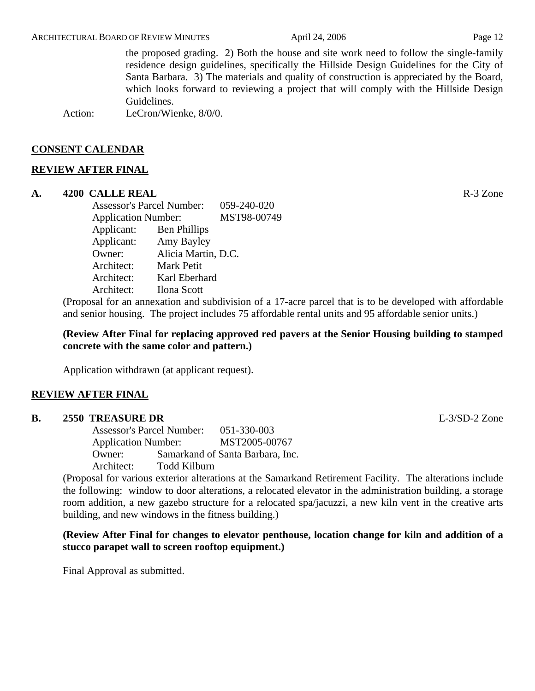the proposed grading. 2) Both the house and site work need to follow the single-family residence design guidelines, specifically the Hillside Design Guidelines for the City of Santa Barbara. 3) The materials and quality of construction is appreciated by the Board, which looks forward to reviewing a project that will comply with the Hillside Design Guidelines.

Action: LeCron/Wienke, 8/0/0.

#### **CONSENT CALENDAR**

#### **REVIEW AFTER FINAL**

#### **A. 4200 CALLE REAL** R-3 Zone

Assessor's Parcel Number: 059-240-020 Application Number: MST98-00749 Applicant: Ben Phillips Applicant: Amy Bayley Owner: Alicia Martin, D.C. Architect: Mark Petit Architect: Karl Eberhard Architect: Ilona Scott

(Proposal for an annexation and subdivision of a 17-acre parcel that is to be developed with affordable and senior housing. The project includes 75 affordable rental units and 95 affordable senior units.)

**(Review After Final for replacing approved red pavers at the Senior Housing building to stamped concrete with the same color and pattern.)** 

Application withdrawn (at applicant request).

#### **REVIEW AFTER FINAL**

#### **B.** 2550 TREASURE DR **E-3/SD-2** Zone

Assessor's Parcel Number: 051-330-003 Application Number: MST2005-00767 Owner: Samarkand of Santa Barbara, Inc. Architect: Todd Kilburn

(Proposal for various exterior alterations at the Samarkand Retirement Facility. The alterations include the following: window to door alterations, a relocated elevator in the administration building, a storage room addition, a new gazebo structure for a relocated spa/jacuzzi, a new kiln vent in the creative arts building, and new windows in the fitness building.)

# **(Review After Final for changes to elevator penthouse, location change for kiln and addition of a stucco parapet wall to screen rooftop equipment.)**

Final Approval as submitted.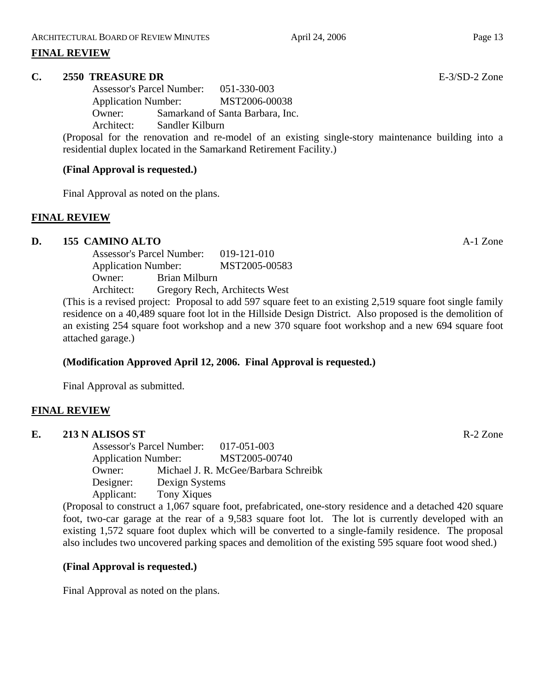#### **FINAL REVIEW**

#### **C. 2550 TREASURE DR** E-3/SD-2 Zone

Assessor's Parcel Number: 051-330-003 Application Number: MST2006-00038 Owner: Samarkand of Santa Barbara, Inc. Architect: Sandler Kilburn

(Proposal for the renovation and re-model of an existing single-story maintenance building into a residential duplex located in the Samarkand Retirement Facility.)

#### **(Final Approval is requested.)**

Final Approval as noted on the plans.

#### **FINAL REVIEW**

# **D. 155 CAMINO ALTO** A-1 Zone

Assessor's Parcel Number: 019-121-010 Application Number: MST2005-00583 Owner: Brian Milburn Architect: Gregory Rech, Architects West

(This is a revised project: Proposal to add 597 square feet to an existing 2,519 square foot single family residence on a 40,489 square foot lot in the Hillside Design District. Also proposed is the demolition of an existing 254 square foot workshop and a new 370 square foot workshop and a new 694 square foot attached garage.)

# **(Modification Approved April 12, 2006. Final Approval is requested.)**

Final Approval as submitted.

# **FINAL REVIEW**

### **E. 213 N ALISOS ST** R-2 Zone Assessor's Parcel Number: 017-051-003 Application Number: MST2005-00740 Owner: Michael J. R. McGee/Barbara Schreibk Designer: Dexign Systems Applicant: Tony Xiques

(Proposal to construct a 1,067 square foot, prefabricated, one-story residence and a detached 420 square foot, two-car garage at the rear of a 9,583 square foot lot. The lot is currently developed with an existing 1,572 square foot duplex which will be converted to a single-family residence. The proposal also includes two uncovered parking spaces and demolition of the existing 595 square foot wood shed.)

# **(Final Approval is requested.)**

Final Approval as noted on the plans.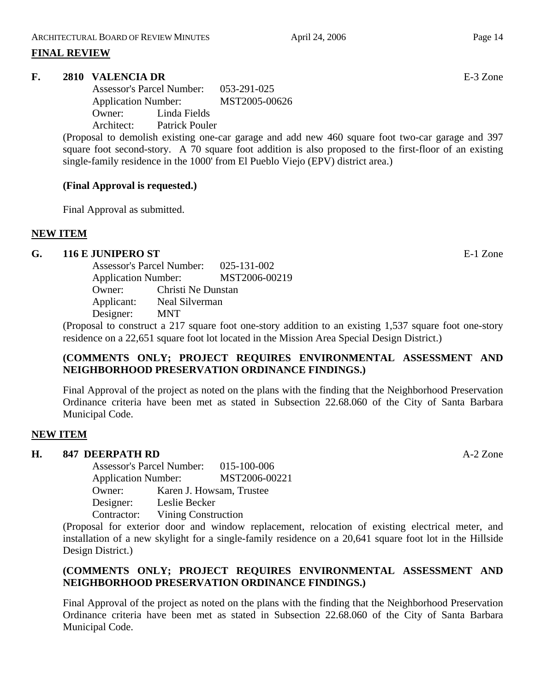#### **FINAL REVIEW**

#### **F. 2810 VALENCIA DR** E-3 Zone

Assessor's Parcel Number: 053-291-025 Application Number: MST2005-00626 Owner: Linda Fields Architect: Patrick Pouler

(Proposal to demolish existing one-car garage and add new 460 square foot two-car garage and 397 square foot second-story. A 70 square foot addition is also proposed to the first-floor of an existing single-family residence in the 1000' from El Pueblo Viejo (EPV) district area.)

# **(Final Approval is requested.)**

Final Approval as submitted.

# **NEW ITEM**

#### **G. 116 E JUNIPERO ST** E-1 Zone

Assessor's Parcel Number: 025-131-002 Application Number: MST2006-00219 Owner: Christi Ne Dunstan Applicant: Neal Silverman Designer: MNT

(Proposal to construct a 217 square foot one-story addition to an existing 1,537 square foot one-story residence on a 22,651 square foot lot located in the Mission Area Special Design District.)

# **(COMMENTS ONLY; PROJECT REQUIRES ENVIRONMENTAL ASSESSMENT AND NEIGHBORHOOD PRESERVATION ORDINANCE FINDINGS.)**

Final Approval of the project as noted on the plans with the finding that the Neighborhood Preservation Ordinance criteria have been met as stated in Subsection 22.68.060 of the City of Santa Barbara Municipal Code.

#### **NEW ITEM**

#### **H. 847 DEERPATH RD** A-2 Zone

Assessor's Parcel Number: 015-100-006 Application Number: MST2006-00221 Owner: Karen J. Howsam, Trustee Designer: Leslie Becker Contractor: Vining Construction

(Proposal for exterior door and window replacement, relocation of existing electrical meter, and installation of a new skylight for a single-family residence on a 20,641 square foot lot in the Hillside Design District.)

# **(COMMENTS ONLY; PROJECT REQUIRES ENVIRONMENTAL ASSESSMENT AND NEIGHBORHOOD PRESERVATION ORDINANCE FINDINGS.)**

Final Approval of the project as noted on the plans with the finding that the Neighborhood Preservation Ordinance criteria have been met as stated in Subsection 22.68.060 of the City of Santa Barbara Municipal Code.